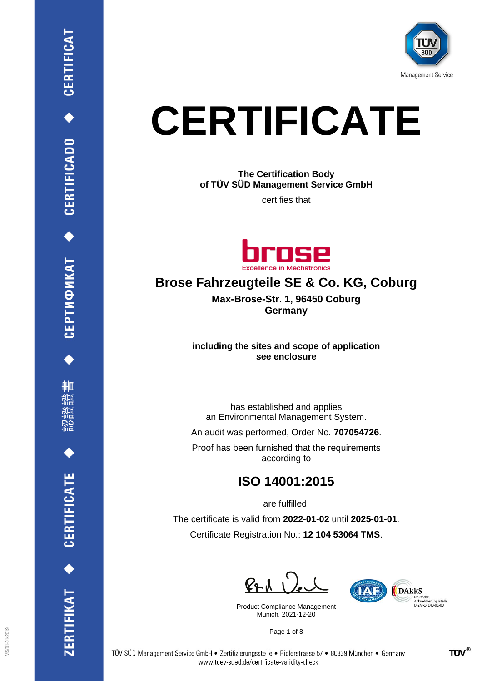

# **CERTIFICATE**

**The Certification Body of TÜV SÜD Management Service GmbH**

certifies that



## **Brose Fahrzeugteile SE & Co. KG, Coburg**

**Max-Brose-Str. 1, 96450 Coburg Germany**

**including the sites and scope of application see enclosure**

has established and applies an Environmental Management System.

An audit was performed, Order No. **707054726**.

Proof has been furnished that the requirements according to

#### **ISO 14001:2015**

are fulfilled.

The certificate is valid from **2022-01-02** until **2025-01-01**. Certificate Registration No.: **12 104 53064 TMS**.

 $P_{P}$ d

Product Compliance Management Munich, 2021-12-20

**TATE** DAKKS Deutsche<br>Akkreditierungsstelle<br>D-ZM-14143-01-00

Page 1 of 8



CEPTИФИКАТ ◆ CERTIFICADO ◆ CERTIFICAT

删

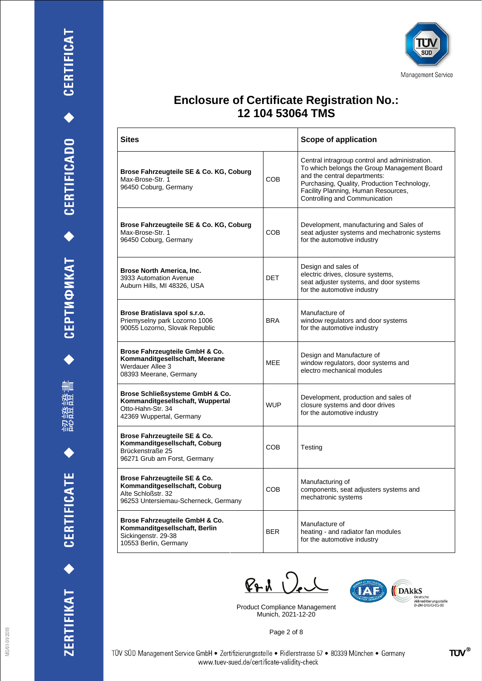





| <b>Sites</b>                                                                                                                |            | <b>Scope of application</b>                                                                                                                                                                                                                          |  |
|-----------------------------------------------------------------------------------------------------------------------------|------------|------------------------------------------------------------------------------------------------------------------------------------------------------------------------------------------------------------------------------------------------------|--|
| Brose Fahrzeugteile SE & Co. KG, Coburg<br>Max-Brose-Str. 1<br>96450 Coburg, Germany                                        | COB        | Central intragroup control and administration.<br>To which belongs the Group Management Board<br>and the central departments:<br>Purchasing, Quality, Production Technology,<br>Facility Planning, Human Resources,<br>Controlling and Communication |  |
| Brose Fahrzeugteile SE & Co. KG, Coburg<br>Max-Brose-Str. 1<br>96450 Coburg, Germany                                        | COB        | Development, manufacturing and Sales of<br>seat adjuster systems and mechatronic systems<br>for the automotive industry                                                                                                                              |  |
| <b>Brose North America, Inc.</b><br>3933 Automation Avenue<br>Auburn Hills, MI 48326, USA                                   | <b>DET</b> | Design and sales of<br>electric drives, closure systems,<br>seat adjuster systems, and door systems<br>for the automotive industry                                                                                                                   |  |
| Brose Bratislava spol s.r.o.<br>Priemyselny park Lozorno 1006<br>90055 Lozorno, Slovak Republic                             | <b>BRA</b> | Manufacture of<br>window regulators and door systems<br>for the automotive industry                                                                                                                                                                  |  |
| Brose Fahrzeugteile GmbH & Co.<br>Kommanditgesellschaft, Meerane<br>Werdauer Allee 3<br>08393 Meerane, Germany              | MEE        | Design and Manufacture of<br>window regulators, door systems and<br>electro mechanical modules                                                                                                                                                       |  |
| Brose Schließsysteme GmbH & Co.<br>Kommanditgesellschaft, Wuppertal<br>Otto-Hahn-Str. 34<br>42369 Wuppertal, Germany        | <b>WUP</b> | Development, production and sales of<br>closure systems and door drives<br>for the automotive industry                                                                                                                                               |  |
| Brose Fahrzeugteile SE & Co.<br>Kommanditgesellschaft, Coburg<br>Brückenstraße 25<br>96271 Grub am Forst, Germany           | <b>COB</b> | Testing                                                                                                                                                                                                                                              |  |
| Brose Fahrzeugteile SE & Co.<br>Kommanditgesellschaft, Coburg<br>Alte Schloßstr. 32<br>96253 Untersiemau-Scherneck, Germany | <b>COB</b> | Manufacturing of<br>components, seat adjusters systems and<br>mechatronic systems                                                                                                                                                                    |  |
| Brose Fahrzeugteile GmbH & Co.<br>Kommanditgesellschaft, Berlin<br>Sickingenstr. 29-38<br>10553 Berlin, Germany             | <b>BER</b> | Manufacture of<br>heating - and radiator fan modules<br>for the automotive industry                                                                                                                                                                  |  |

 $P+A$ 

Product Compliance Management Munich, 2021-12-20



Page 2 of 8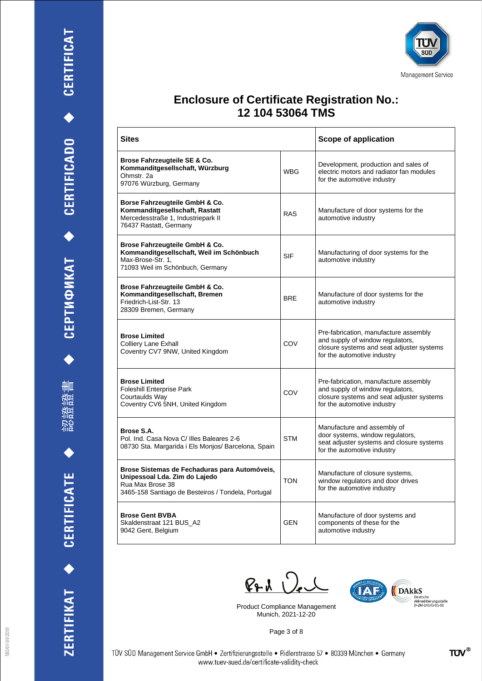





| Sites                                                                                                                                                    |            | Scope of application                                                                                                                                  |
|----------------------------------------------------------------------------------------------------------------------------------------------------------|------------|-------------------------------------------------------------------------------------------------------------------------------------------------------|
| Brose Fahrzeugteile SE & Co.<br>Kommanditgesellschaft, Würzburg<br>Ohmstr, 2a<br>97076 Würzburg, Germany                                                 | <b>WBG</b> | Development, production and sales of<br>electric motors and radiator fan modules<br>for the automotive industry                                       |
| Borse Fahrzeugteile GmbH & Co.<br>Kommanditgesellschaft, Rastatt<br>Mercedesstraße 1, Industriepark II<br>76437 Rastatt, Germany                         | <b>RAS</b> | Manufacture of door systems for the<br>automotive industry                                                                                            |
| Brose Fahrzeugteile GmbH & Co.<br>Kommanditgesellschaft, Weil im Schönbuch<br>Max-Brose-Str. 1.<br>71093 Weil im Schönbuch, Germany                      | SIF        | Manufacturing of door systems for the<br>automotive industry                                                                                          |
| Brose Fahrzeugteile GmbH & Co.<br>Kommanditgesellschaft, Bremen<br>Friedrich-List-Str. 13<br>28309 Bremen, Germany                                       | <b>BRE</b> | Manufacture of door systems for the<br>automotive industry                                                                                            |
| <b>Brose Limited</b><br><b>Colliery Lane Exhall</b><br>Coventry CV7 9NW, United Kingdom                                                                  | COV        | Pre-fabrication, manufacture assembly<br>and supply of window regulators,<br>closure systems and seat adjuster systems<br>for the automotive industry |
| <b>Brose Limited</b><br><b>Foleshill Enterprise Park</b><br>Courtaulds Way<br>Coventry CV6 5NH, United Kingdom                                           | COV        | Pre-fabrication, manufacture assembly<br>and supply of window regulators,<br>closure systems and seat adjuster systems<br>for the automotive industry |
| Brose S.A.<br>Pol. Ind. Casa Nova C/ Illes Baleares 2-6<br>08730 Sta. Margarida i Els Monjos/ Barcelona, Spain                                           | <b>STM</b> | Manufacture and assembly of<br>door systems, window regulators,<br>seat adjuster systems and closure systems<br>for the automotive industry           |
| Brose Sistemas de Fechaduras para Automóveis,<br>Unipessoal Lda. Zim do Lajedo<br>Rua Max Brose 38<br>3465-158 Santiago de Besteiros / Tondela, Portugal | <b>TON</b> | Manufacture of closure systems,<br>window regulators and door drives<br>for the automotive industry                                                   |
| <b>Brose Gent BVBA</b><br>Skaldenstraat 121 BUS A2<br>9042 Gent, Belgium                                                                                 | <b>GFN</b> | Manufacture of door systems and<br>components of these for the<br>automotive industry                                                                 |

 $P + 1$   $Q_e$ 

Product Compliance Management Munich, 2021-12-20



Page 3 of 8

TÜV SÜD Management Service GmbH · Zertifizierungsstelle · Ridlerstrasse 57 · 80339 München · Germany www.tuev-sued.de/certificate-validity-check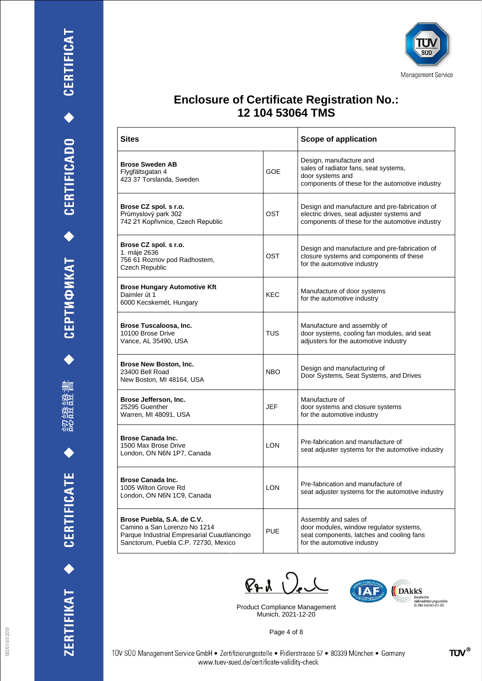







| <b>Sites</b>                                                                                                                                      |            | Scope of application                                                                                                                           |
|---------------------------------------------------------------------------------------------------------------------------------------------------|------------|------------------------------------------------------------------------------------------------------------------------------------------------|
| <b>Brose Sweden AB</b><br>Flygfältsgatan 4<br>423 37 Torslanda, Sweden                                                                            | GOE        | Design, manufacture and<br>sales of radiator fans, seat systems,<br>door systems and<br>components of these for the automotive industry        |
| Brose CZ spol. s r.o.<br>Průmyslový park 302<br>742 21 Kopřivnice, Czech Republic                                                                 | OST        | Design and manufacture and pre-fabrication of<br>electric drives, seat adjuster systems and<br>components of these for the automotive industry |
| Brose CZ spol. s r.o.<br>1. máje 2636<br>756 61 Roznov pod Radhostem,<br>Czech Republic                                                           | OST        | Design and manufacture and pre-fabrication of<br>closure systems and components of these<br>for the automotive industry                        |
| <b>Brose Hungary Automotive Kft</b><br>Daimler út 1<br>6000 Kecskemét, Hungary                                                                    | KEC        | Manufacture of door systems<br>for the automotive industry                                                                                     |
| Brose Tuscaloosa, Inc.<br>10100 Brose Drive<br>Vance, AL 35490, USA                                                                               | TUS        | Manufacture and assembly of<br>door systems, cooling fan modules, and seat<br>adjusters for the automotive industry                            |
| Brose New Boston, Inc.<br>23400 Bell Road<br>New Boston, MI 48164, USA                                                                            | <b>NBO</b> | Design and manufacturing of<br>Door Systems, Seat Systems, and Drives                                                                          |
| Brose Jefferson, Inc.<br>25295 Guenther<br>Warren, MI 48091, USA                                                                                  | JEF        | Manufacture of<br>door systems and closure systems<br>for the automotive industry                                                              |
| <b>Brose Canada Inc.</b><br>1500 Max Brose Drive<br>London, ON N6N 1P7, Canada                                                                    | <b>LON</b> | Pre-fabrication and manufacture of<br>seat adjuster systems for the automotive industry                                                        |
| <b>Brose Canada Inc.</b><br>1005 Wilton Grove Rd<br>London, ON N6N 1C9, Canada                                                                    | I ON       | Pre-fabrication and manufacture of<br>seat adjuster systems for the automotive industry                                                        |
| Brose Puebla, S.A. de C.V.<br>Camino a San Lorenzo No 1214<br>Parque Industrial Empresarial Cuautlancingo<br>Sanctorum, Puebla C.P. 72730, Mexico | <b>PUE</b> | Assembly and sales of<br>door modules, window regulator systems,<br>seat components, latches and cooling fans<br>for the automotive industry   |

 $PAU$ 

Product Compliance Management Munich, 2021-12-20



Page 4 of 8

www.tuev-sued.de/certificate-validity-check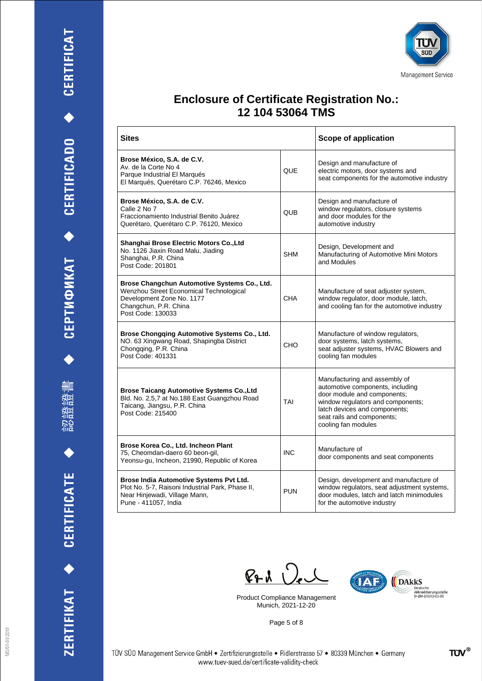書 油油 諮 設計

ZERTIFIKAT ◆ CERTIFICATE



#### **Enclosure of Certificate Registration No.: 12 104 53064 TMS**

| <b>Sites</b>                                                                                                                                                       |            | Scope of application                                                                                                                                                                                                        |
|--------------------------------------------------------------------------------------------------------------------------------------------------------------------|------------|-----------------------------------------------------------------------------------------------------------------------------------------------------------------------------------------------------------------------------|
| Brose México, S.A. de C.V.<br>Av. de la Corte No 4<br>Parque Industrial El Marqués<br>El Marqués, Querétaro C.P. 76246, Mexico                                     | <b>QUE</b> | Design and manufacture of<br>electric motors, door systems and<br>seat components for the automotive industry                                                                                                               |
| Brose México, S.A. de C.V.<br>Calle 2 No 7<br>Fraccionamiento Industrial Benito Juárez<br>Querétaro, Querétaro C.P. 76120, Mexico                                  | <b>QUB</b> | Design and manufacture of<br>window regulators, closure systems<br>and door modules for the<br>automotive industry                                                                                                          |
| Shanghai Brose Electric Motors Co., Ltd<br>No. 1126 Jiaxin Road Malu, Jiading<br>Shanghai, P.R. China<br>Post Code: 201801                                         | <b>SHM</b> | Design, Development and<br>Manufacturing of Automotive Mini Motors<br>and Modules                                                                                                                                           |
| Brose Changchun Automotive Systems Co., Ltd.<br>Wenzhou Street Economical Technological<br>Development Zone No. 1177<br>Changchun, P.R. China<br>Post Code: 130033 | CHA        | Manufacture of seat adjuster system,<br>window regulator, door module, latch,<br>and cooling fan for the automotive industry                                                                                                |
| Brose Chongqing Automotive Systems Co., Ltd.<br>NO. 63 Xingwang Road, Shapingba District<br>Chongging, P.R. China<br>Post Code: 401331                             | CHO        | Manufacture of window regulators,<br>door systems, latch systems,<br>seat adjuster systems, HVAC Blowers and<br>cooling fan modules                                                                                         |
| <b>Brose Taicang Automotive Systems Co., Ltd</b><br>Bld. No. 2,5,7 at No.188 East Guangzhou Road<br>Taicang, Jiangsu, P.R. China<br>Post Code: 215400              | TAI        | Manufacturing and assembly of<br>automotive components, including<br>door module and components;<br>window regulators and components;<br>latch devices and components;<br>seat rails and components;<br>cooling fan modules |
| Brose Korea Co., Ltd. Incheon Plant<br>75, Cheomdan-daero 60 beon-gil,<br>Yeonsu-gu, Incheon, 21990, Republic of Korea                                             | <b>INC</b> | Manufacture of<br>door components and seat components                                                                                                                                                                       |
| Brose India Automotive Systems Pvt Ltd.<br>Plot No. 5-7, Raisoni Industrial Park, Phase II,<br>Near Hinjewadi, Village Mann,<br>Pune - 411057, India               | <b>PUN</b> | Design, development and manufacture of<br>window regulators, seat adjustment systems,<br>door modules, latch and latch minimodules<br>for the automotive industry                                                           |

 $P_{P}$ d  $Q_{e}$ 

Product Compliance Management Munich, 2021-12-20

Page 5 of 8



MS/01-01/2019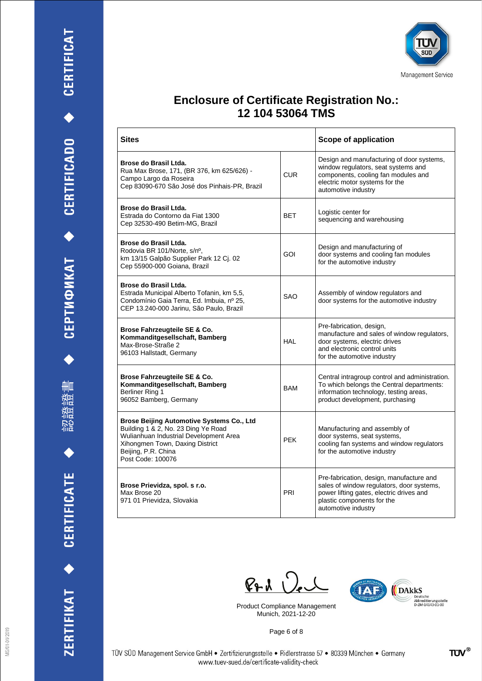





| <b>Sites</b>                                                                                                                                                                                              |            | Scope of application                                                                                                                                                                   |
|-----------------------------------------------------------------------------------------------------------------------------------------------------------------------------------------------------------|------------|----------------------------------------------------------------------------------------------------------------------------------------------------------------------------------------|
| Brose do Brasil Ltda.<br>Rua Max Brose, 171, (BR 376, km 625/626) -<br>Campo Largo da Roseira<br>Cep 83090-670 São José dos Pinhais-PR, Brazil                                                            | <b>CUR</b> | Design and manufacturing of door systems,<br>window regulators, seat systems and<br>components, cooling fan modules and<br>electric motor systems for the<br>automotive industry       |
| Brose do Brasil Ltda.<br>Estrada do Contorno da Fiat 1300<br>Cep 32530-490 Betim-MG, Brazil                                                                                                               | <b>BET</b> | Logistic center for<br>sequencing and warehousing                                                                                                                                      |
| Brose do Brasil Ltda.<br>Rodovia BR 101/Norte, s/nº,<br>km 13/15 Galpão Supplier Park 12 Cj. 02<br>Cep 55900-000 Goiana, Brazil                                                                           | GOI        | Design and manufacturing of<br>door systems and cooling fan modules<br>for the automotive industry                                                                                     |
| Brose do Brasil Ltda.<br>Estrada Municipal Alberto Tofanin, km 5,5,<br>Condomínio Gaia Terra, Ed. Imbuia, nº 25,<br>CEP 13.240-000 Jarinu, São Paulo, Brazil                                              | SAO        | Assembly of window regulators and<br>door systems for the automotive industry                                                                                                          |
| Brose Fahrzeugteile SE & Co.<br>Kommanditgesellschaft, Bamberg<br>Max-Brose-Straße 2<br>96103 Hallstadt, Germany                                                                                          | HAL        | Pre-fabrication, design,<br>manufacture and sales of window regulators,<br>door systems, electric drives<br>and electronic control units<br>for the automotive industry                |
| Brose Fahrzeugteile SE & Co.<br>Kommanditgesellschaft, Bamberg<br>Berliner Ring 1<br>96052 Bamberg, Germany                                                                                               | <b>BAM</b> | Central intragroup control and administration.<br>To which belongs the Central departments:<br>information technology, testing areas,<br>product development, purchasing               |
| Brose Beijing Automotive Systems Co., Ltd<br>Building 1 & 2, No. 23 Ding Ye Road<br>Wulianhuan Industrial Development Area<br>Xihongmen Town, Daxing District<br>Beijing, P.R. China<br>Post Code: 100076 | <b>PEK</b> | Manufacturing and assembly of<br>door systems, seat systems,<br>cooling fan systems and window regulators<br>for the automotive industry                                               |
| Brose Prievidza, spol. s r.o.<br>Max Brose 20<br>971 01 Prievidza, Slovakia                                                                                                                               | PRI        | Pre-fabrication, design, manufacture and<br>sales of window regulators, door systems,<br>power lifting gates, electric drives and<br>plastic components for the<br>automotive industry |

 $P+A$ 

Product Compliance Management Munich, 2021-12-20



Page 6 of 8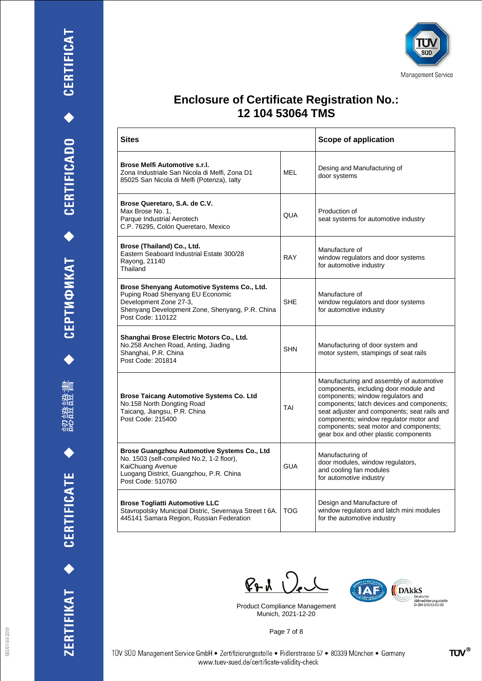





| Sites                                                                                                                                                                             |            | Scope of application                                                                                                                                                                                                                                                                                                                             |
|-----------------------------------------------------------------------------------------------------------------------------------------------------------------------------------|------------|--------------------------------------------------------------------------------------------------------------------------------------------------------------------------------------------------------------------------------------------------------------------------------------------------------------------------------------------------|
| Brose Melfi Automotive s.r.l.<br>Zona Industriale San Nicola di Melfi, Zona D1<br>85025 San Nicola di Melfi (Potenza), lalty                                                      | MEL        | Desing and Manufacturing of<br>door systems                                                                                                                                                                                                                                                                                                      |
| Brose Queretaro, S.A. de C.V.<br>Max Brose No. 1,<br>Parque Industrial Aerotech<br>C.P. 76295, Colón Queretaro, Mexico                                                            | QUA        | Production of<br>seat systems for automotive industry                                                                                                                                                                                                                                                                                            |
| Brose (Thailand) Co., Ltd.<br>Eastern Seaboard Industrial Estate 300/28<br>Rayong, 21140<br>Thailand                                                                              | <b>RAY</b> | Manufacture of<br>window regulators and door systems<br>for automotive industry                                                                                                                                                                                                                                                                  |
| Brose Shenyang Automotive Systems Co., Ltd.<br>Puping Road Shenyang EU Economic<br>Development Zone 27-3,<br>Shenyang Development Zone, Shenyang, P.R. China<br>Post Code: 110122 | <b>SHE</b> | Manufacture of<br>window regulators and door systems<br>for automotive industry                                                                                                                                                                                                                                                                  |
| Shanghai Brose Electric Motors Co., Ltd.<br>No.258 Anchen Road, Anting, Jiading<br>Shanghai, P.R. China<br>Post Code: 201814                                                      | <b>SHN</b> | Manufacturing of door system and<br>motor system, stampings of seat rails                                                                                                                                                                                                                                                                        |
| <b>Brose Taicang Automotive Systems Co. Ltd</b><br>No.158 North Dongting Road<br>Taicang, Jiangsu, P.R. China<br>Post Code: 215400                                                | TAI        | Manufacturing and assembly of automotive<br>components, including door module and<br>components; window regulators and<br>components; latch devices and components;<br>seat adjuster and components; seat rails and<br>components; window regulator motor and<br>components; seat motor and components;<br>gear box and other plastic components |
| Brose Guangzhou Automotive Systems Co., Ltd<br>No. 1503 (self-compiled No.2, 1-2 floor),<br>KaiChuang Avenue<br>Luogang District, Guangzhou, P.R. China<br>Post Code: 510760      | <b>GUA</b> | Manufacturing of<br>door modules, window regulators,<br>and cooling fan modules<br>for automotive industry                                                                                                                                                                                                                                       |
| <b>Brose Togliatti Automotive LLC</b><br>Stavropolsky Municipal Distric, Severnaya Street t 6A.<br>445141 Samara Region, Russian Federation                                       | <b>TOG</b> | Design and Manufacture of<br>window regulators and latch mini modules<br>for the automotive industry                                                                                                                                                                                                                                             |

 $PAU$ 

Product Compliance Management Munich, 2021-12-20



Page 7 of 8

MS/01-01/2019